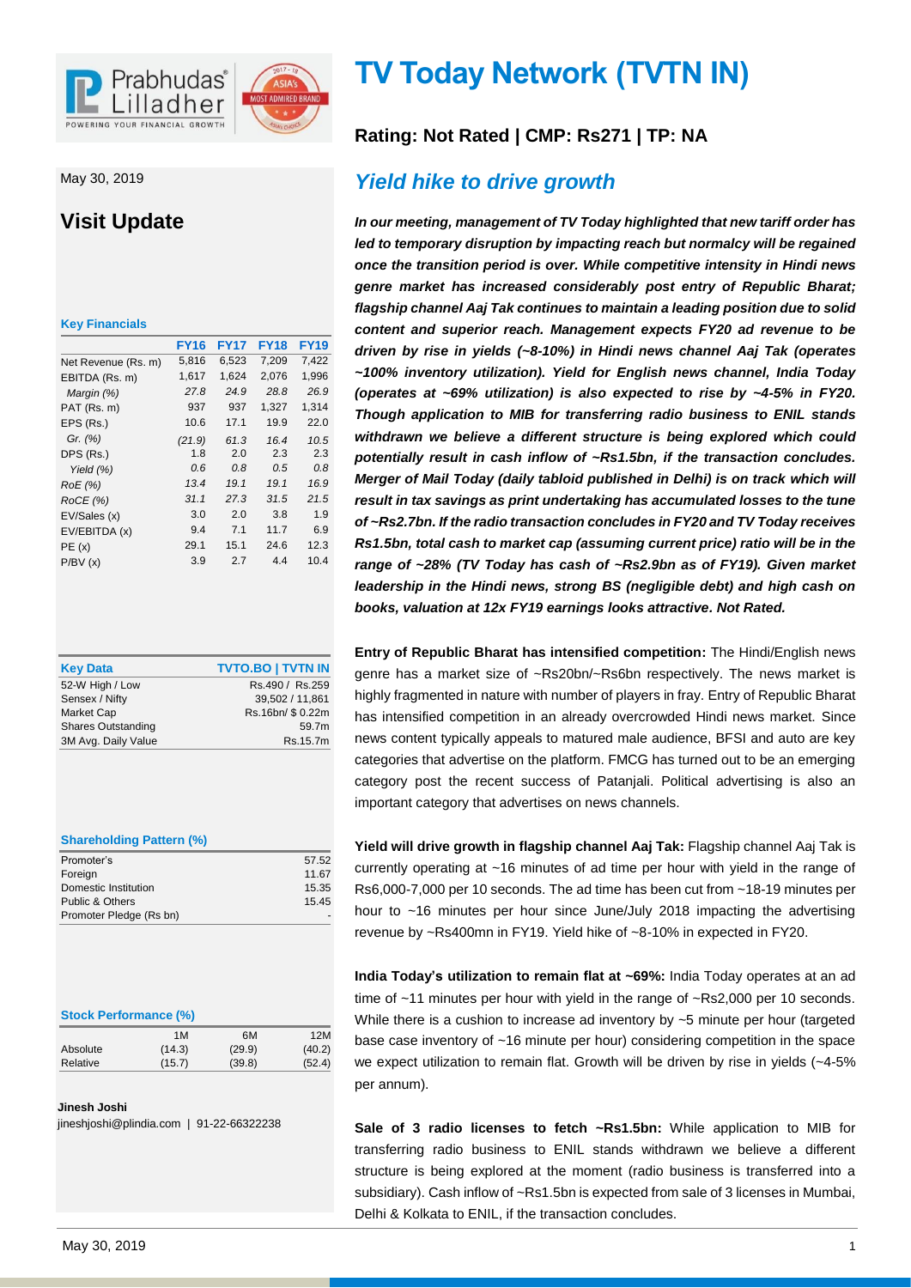

May 30, 2019

# **Visit Update**

| <b>Key Financials</b> |             |             |             |             |
|-----------------------|-------------|-------------|-------------|-------------|
|                       | <b>FY16</b> | <b>FY17</b> | <b>FY18</b> | <b>FY19</b> |
| Net Revenue (Rs. m)   | 5,816       | 6,523       | 7,209       | 7,422       |
| EBITDA (Rs. m)        | 1,617       | 1,624       | 2,076       | 1,996       |
| Margin (%)            | 27.8        | 24.9        | 28.8        | 26.9        |
| PAT (Rs. m)           | 937         | 937         | 1,327       | 1,314       |
| EPS (Rs.)             | 10.6        | 17.1        | 19.9        | 22.0        |
| Gr. (%)               | (21.9)      | 61.3        | 16.4        | 10.5        |
| DPS (Rs.)             | 1.8         | 2.0         | 2.3         | 2.3         |
| Yield $(%)$           | 0.6         | 0.8         | 0.5         | 0.8         |
| RoE (%)               | 13.4        | 19.1        | 19.1        | 16.9        |
| ROCE(%)               | 31.1        | 27.3        | 31.5        | 21.5        |
| EV/Sales (x)          | 3.0         | 2.0         | 3.8         | 1.9         |
| EV/EBITDA (x)         | 9.4         | 7.1         | 11.7        | 6.9         |
| PE(x)                 | 29.1        | 15.1        | 24.6        | 12.3        |
| P/BV(x)               | 3.9         | 2.7         | 4.4         | 10.4        |

| <b>Key Data</b>           | <b>TVTO.BO   TVTN IN</b> |
|---------------------------|--------------------------|
| 52-W High / Low           | Rs.490 / Rs.259          |
| Sensex / Nifty            | 39.502 / 11.861          |
| Market Cap                | Rs.16bn/ \$0.22m         |
| <b>Shares Outstanding</b> | 59.7m                    |
| 3M Avg. Daily Value       | Rs.15.7m                 |

| <b>Shareholding Pattern (%)</b> |       |  |
|---------------------------------|-------|--|
| Promoter's                      | 57.52 |  |

|                         | ےں. ان |
|-------------------------|--------|
| Foreign                 | 11.67  |
| Domestic Institution    | 15.35  |
| Public & Others         | 15.45  |
| Promoter Pledge (Rs bn) |        |
|                         |        |

#### **Stock Performance (%)**

|          | 1M     | 6M     | 12M    |
|----------|--------|--------|--------|
| Absolute | (14.3) | (29.9) | (40.2) |
| Relative | (15.7) | (39.8) | (52.4) |
|          |        |        |        |

#### **Jinesh Joshi**

jineshjoshi@plindia.com | 91-22-66322238

# **TV Today Network (TVTN IN)**

# **Rating: Not Rated | CMP: Rs271 | TP: NA**

# *Yield hike to drive growth*

*In our meeting, management of TV Today highlighted that new tariff order has led to temporary disruption by impacting reach but normalcy will be regained once the transition period is over. While competitive intensity in Hindi news genre market has increased considerably post entry of Republic Bharat; flagship channel Aaj Tak continues to maintain a leading position due to solid content and superior reach. Management expects FY20 ad revenue to be driven by rise in yields (~8-10%) in Hindi news channel Aaj Tak (operates ~100% inventory utilization). Yield for English news channel, India Today (operates at ~69% utilization) is also expected to rise by ~4-5% in FY20. Though application to MIB for transferring radio business to ENIL stands withdrawn we believe a different structure is being explored which could potentially result in cash inflow of ~Rs1.5bn, if the transaction concludes. Merger of Mail Today (daily tabloid published in Delhi) is on track which will result in tax savings as print undertaking has accumulated losses to the tune of ~Rs2.7bn. If the radio transaction concludes in FY20 and TV Today receives Rs1.5bn, total cash to market cap (assuming current price) ratio will be in the range of ~28% (TV Today has cash of ~Rs2.9bn as of FY19). Given market leadership in the Hindi news, strong BS (negligible debt) and high cash on books, valuation at 12x FY19 earnings looks attractive. Not Rated.* 

**Entry of Republic Bharat has intensified competition:** The Hindi/English news genre has a market size of ~Rs20bn/~Rs6bn respectively. The news market is highly fragmented in nature with number of players in fray. Entry of Republic Bharat has intensified competition in an already overcrowded Hindi news market. Since news content typically appeals to matured male audience, BFSI and auto are key categories that advertise on the platform. FMCG has turned out to be an emerging category post the recent success of Patanjali. Political advertising is also an important category that advertises on news channels.

**Yield will drive growth in flagship channel Aaj Tak:** Flagship channel Aaj Tak is currently operating at ~16 minutes of ad time per hour with yield in the range of Rs6,000-7,000 per 10 seconds. The ad time has been cut from ~18-19 minutes per hour to ~16 minutes per hour since June/July 2018 impacting the advertising revenue by ~Rs400mn in FY19. Yield hike of ~8-10% in expected in FY20.

**India Today's utilization to remain flat at ~69%:** India Today operates at an ad time of ~11 minutes per hour with yield in the range of ~Rs2,000 per 10 seconds. While there is a cushion to increase ad inventory by ~5 minute per hour (targeted base case inventory of ~16 minute per hour) considering competition in the space we expect utilization to remain flat. Growth will be driven by rise in yields (~4-5% per annum).

**Sale of 3 radio licenses to fetch ~Rs1.5bn:** While application to MIB for transferring radio business to ENIL stands withdrawn we believe a different structure is being explored at the moment (radio business is transferred into a subsidiary). Cash inflow of ~Rs1.5bn is expected from sale of 3 licenses in Mumbai, Delhi & Kolkata to ENIL, if the transaction concludes.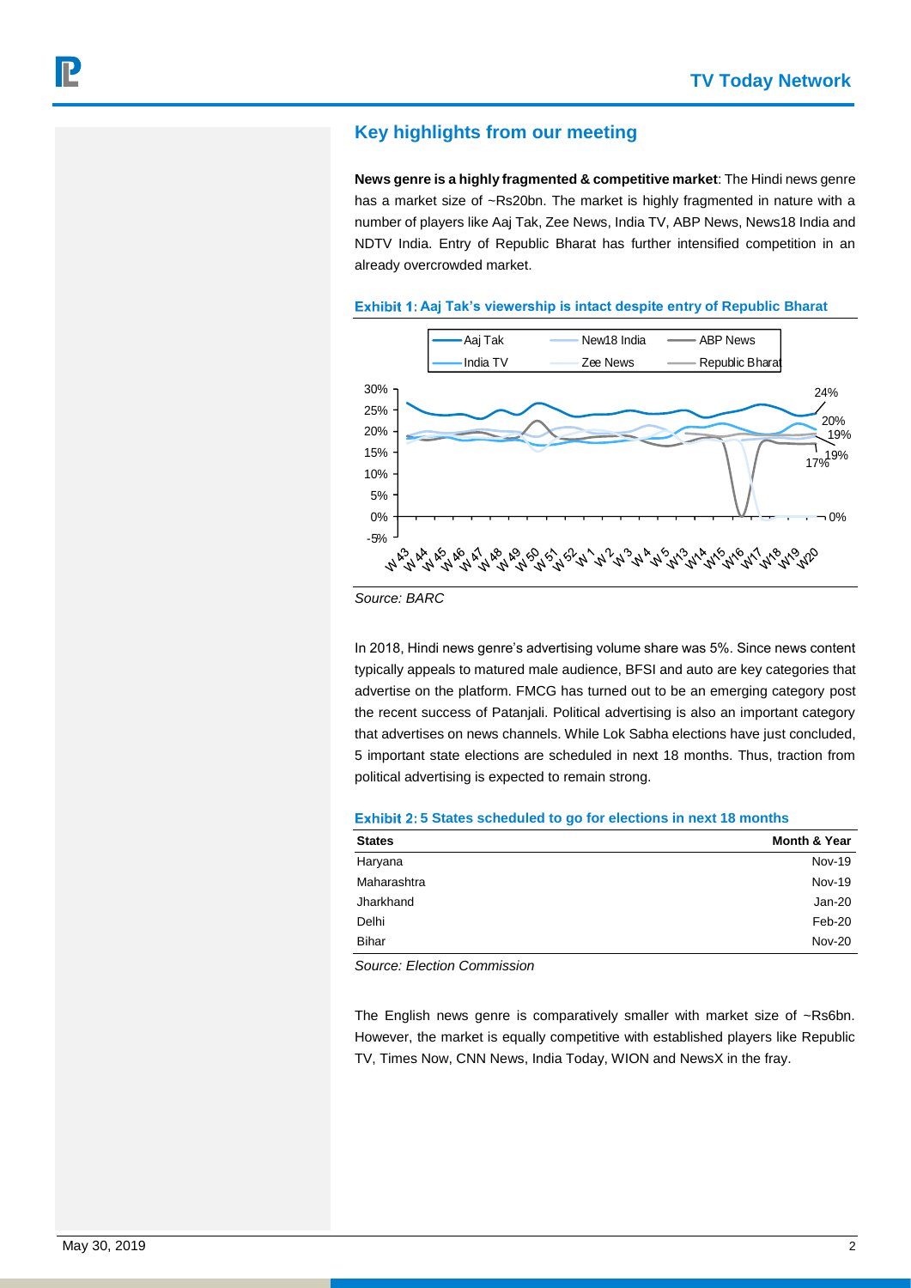# **Key highlights from our meeting**

**News genre is a highly fragmented & competitive market**: The Hindi news genre has a market size of ~Rs20bn. The market is highly fragmented in nature with a number of players like Aaj Tak, Zee News, India TV, ABP News, News18 India and NDTV India. Entry of Republic Bharat has further intensified competition in an already overcrowded market.





*Source: BARC*

In 2018, Hindi news genre's advertising volume share was 5%. Since news content typically appeals to matured male audience, BFSI and auto are key categories that advertise on the platform. FMCG has turned out to be an emerging category post the recent success of Patanjali. Political advertising is also an important category that advertises on news channels. While Lok Sabha elections have just concluded, 5 important state elections are scheduled in next 18 months. Thus, traction from political advertising is expected to remain strong.

#### **Exhibit 2:5 States scheduled to go for elections in next 18 months**

| <b>States</b> | <b>Month &amp; Year</b> |
|---------------|-------------------------|
| Haryana       | <b>Nov-19</b>           |
| Maharashtra   | <b>Nov-19</b>           |
| Jharkhand     | Jan-20                  |
| Delhi         | Feb-20                  |
| <b>Bihar</b>  | <b>Nov-20</b>           |
|               |                         |

*Source: Election Commission*

The English news genre is comparatively smaller with market size of ~Rs6bn. However, the market is equally competitive with established players like Republic TV, Times Now, CNN News, India Today, WION and NewsX in the fray.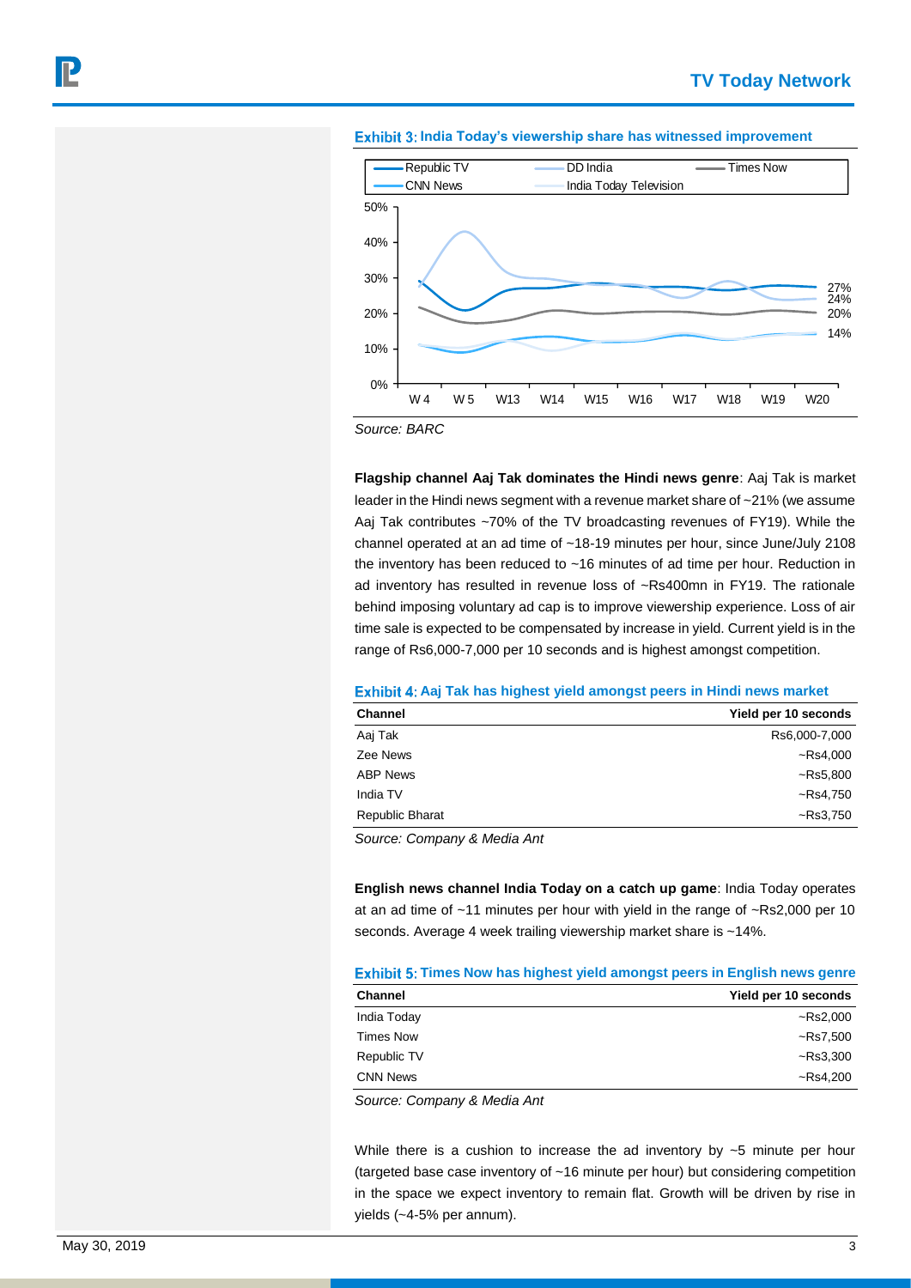



*Source: BARC*

**Flagship channel Aaj Tak dominates the Hindi news genre**: Aaj Tak is market leader in the Hindi news segment with a revenue market share of ~21% (we assume Aaj Tak contributes ~70% of the TV broadcasting revenues of FY19). While the channel operated at an ad time of ~18-19 minutes per hour, since June/July 2108 the inventory has been reduced to ~16 minutes of ad time per hour. Reduction in ad inventory has resulted in revenue loss of ~Rs400mn in FY19. The rationale behind imposing voluntary ad cap is to improve viewership experience. Loss of air time sale is expected to be compensated by increase in yield. Current yield is in the range of Rs6,000-7,000 per 10 seconds and is highest amongst competition.

### **Exhibit 4: Aaj Tak has highest yield amongst peers in Hindi news market**

| <b>Channel</b>  | Yield per 10 seconds |
|-----------------|----------------------|
| Aaj Tak         | Rs6,000-7,000        |
| Zee News        | $-Rs4,000$           |
| <b>ABP News</b> | $-Rs5,800$           |
| India TV        | $-Rs4,750$           |
| Republic Bharat | $-Rs3,750$           |

*Source: Company & Media Ant*

**English news channel India Today on a catch up game**: India Today operates at an ad time of ~11 minutes per hour with yield in the range of ~Rs2,000 per 10 seconds. Average 4 week trailing viewership market share is ~14%.

#### **Times Now has highest yield amongst peers in English news genre**

| <b>Channel</b>   | Yield per 10 seconds |
|------------------|----------------------|
| India Today      | ~Rs2,000             |
| <b>Times Now</b> | ~Rs7,500             |
| Republic TV      | $-Rs3,300$           |
| <b>CNN News</b>  | ~Rs4.200             |

*Source: Company & Media Ant*

While there is a cushion to increase the ad inventory by  $\sim$ 5 minute per hour (targeted base case inventory of ~16 minute per hour) but considering competition in the space we expect inventory to remain flat. Growth will be driven by rise in yields (~4-5% per annum).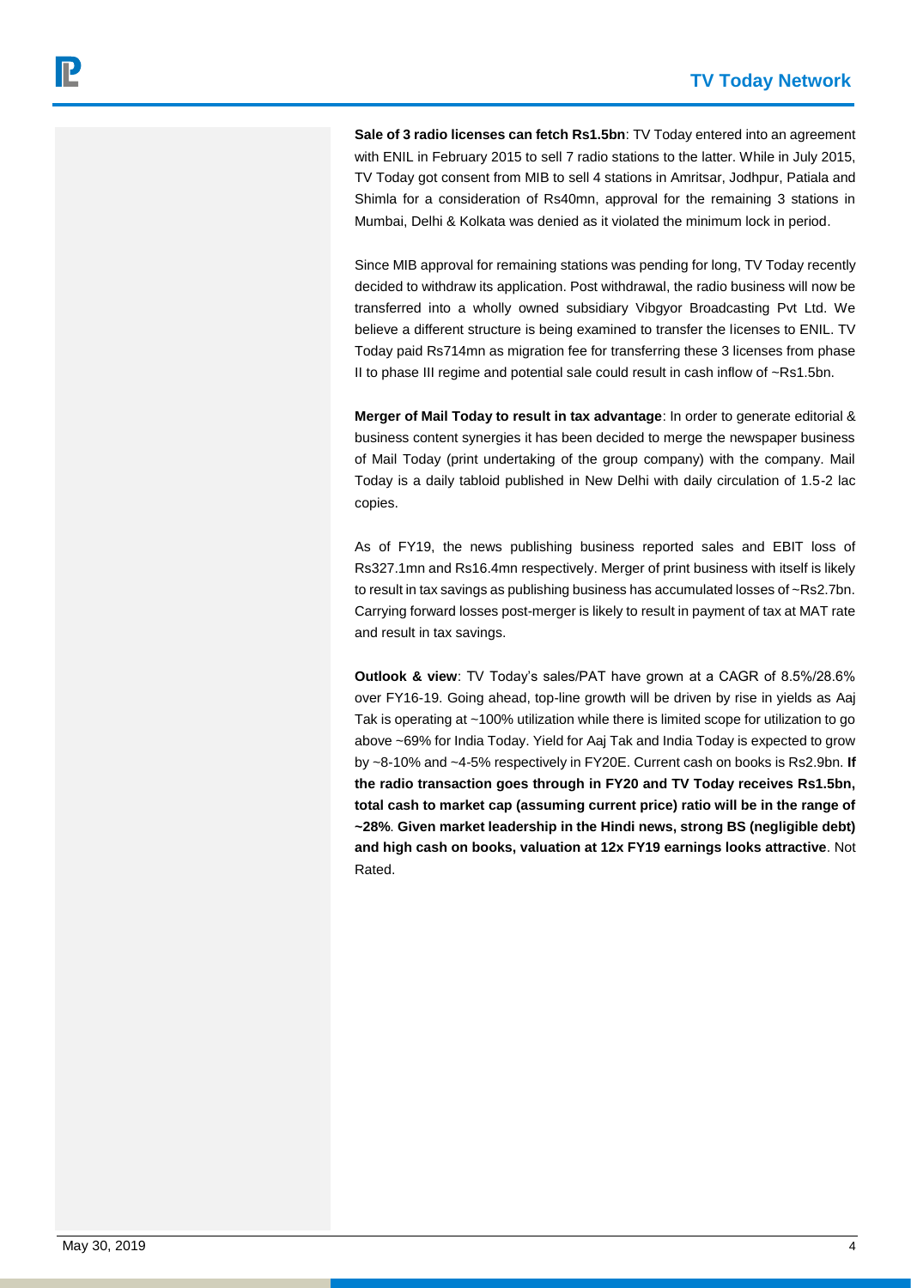**Sale of 3 radio licenses can fetch Rs1.5bn**: TV Today entered into an agreement with ENIL in February 2015 to sell 7 radio stations to the latter. While in July 2015, TV Today got consent from MIB to sell 4 stations in Amritsar, Jodhpur, Patiala and Shimla for a consideration of Rs40mn, approval for the remaining 3 stations in Mumbai, Delhi & Kolkata was denied as it violated the minimum lock in period.

Since MIB approval for remaining stations was pending for long, TV Today recently decided to withdraw its application. Post withdrawal, the radio business will now be transferred into a wholly owned subsidiary Vibgyor Broadcasting Pvt Ltd. We believe a different structure is being examined to transfer the licenses to ENIL. TV Today paid Rs714mn as migration fee for transferring these 3 licenses from phase II to phase III regime and potential sale could result in cash inflow of ~Rs1.5bn.

**Merger of Mail Today to result in tax advantage**: In order to generate editorial & business content synergies it has been decided to merge the newspaper business of Mail Today (print undertaking of the group company) with the company. Mail Today is a daily tabloid published in New Delhi with daily circulation of 1.5-2 lac copies.

As of FY19, the news publishing business reported sales and EBIT loss of Rs327.1mn and Rs16.4mn respectively. Merger of print business with itself is likely to result in tax savings as publishing business has accumulated losses of ~Rs2.7bn. Carrying forward losses post-merger is likely to result in payment of tax at MAT rate and result in tax savings.

**Outlook & view**: TV Today's sales/PAT have grown at a CAGR of 8.5%/28.6% over FY16-19. Going ahead, top-line growth will be driven by rise in yields as Aaj Tak is operating at ~100% utilization while there is limited scope for utilization to go above ~69% for India Today. Yield for Aaj Tak and India Today is expected to grow by ~8-10% and ~4-5% respectively in FY20E. Current cash on books is Rs2.9bn. **If the radio transaction goes through in FY20 and TV Today receives Rs1.5bn, total cash to market cap (assuming current price) ratio will be in the range of ~28%**. **Given market leadership in the Hindi news, strong BS (negligible debt) and high cash on books, valuation at 12x FY19 earnings looks attractive**. Not Rated.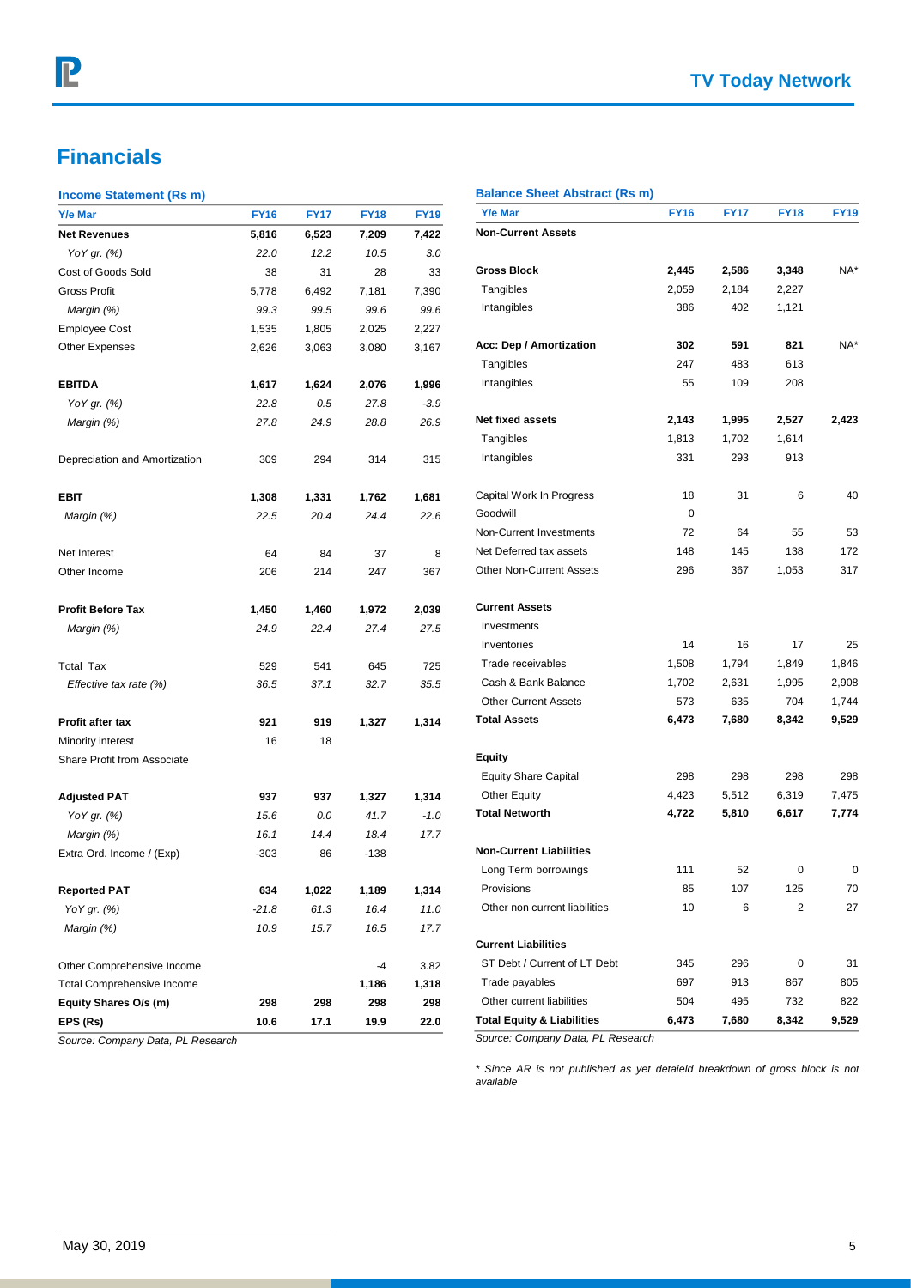# **Financials**

## **Income Statement (Rs m)**

| moonic otatement (its m)          |             |             |             |             |                                       |             |             |                |             |
|-----------------------------------|-------------|-------------|-------------|-------------|---------------------------------------|-------------|-------------|----------------|-------------|
| Y/e Mar                           | <b>FY16</b> | <b>FY17</b> | <b>FY18</b> | <b>FY19</b> | Y/e Mar                               | <b>FY16</b> | <b>FY17</b> | <b>FY18</b>    | <b>FY19</b> |
| <b>Net Revenues</b>               | 5,816       | 6,523       | 7,209       | 7,422       | <b>Non-Current Assets</b>             |             |             |                |             |
| YoY gr. (%)                       | 22.0        | 12.2        | 10.5        | 3.0         |                                       |             |             |                |             |
| Cost of Goods Sold                | 38          | 31          | 28          | 33          | <b>Gross Block</b>                    | 2,445       | 2,586       | 3,348          | NA*         |
| Gross Profit                      | 5,778       | 6,492       | 7,181       | 7,390       | Tangibles                             | 2,059       | 2,184       | 2,227          |             |
| Margin (%)                        | 99.3        | 99.5        | 99.6        | 99.6        | Intangibles                           | 386         | 402         | 1,121          |             |
| <b>Employee Cost</b>              | 1,535       | 1,805       | 2,025       | 2,227       |                                       |             |             |                |             |
| <b>Other Expenses</b>             | 2,626       | 3,063       | 3,080       | 3,167       | Acc: Dep / Amortization               | 302         | 591         | 821            | NA*         |
|                                   |             |             |             |             | Tangibles                             | 247         | 483         | 613            |             |
| <b>EBITDA</b>                     | 1,617       | 1,624       | 2,076       | 1,996       | Intangibles                           | 55          | 109         | 208            |             |
| YoY gr. (%)                       | 22.8        | 0.5         | 27.8        | $-3.9$      |                                       |             |             |                |             |
| Margin (%)                        | 27.8        | 24.9        | 28.8        | 26.9        | Net fixed assets                      | 2,143       | 1,995       | 2,527          | 2,423       |
|                                   |             |             |             |             | Tangibles                             | 1,813       | 1,702       | 1,614          |             |
| Depreciation and Amortization     | 309         | 294         | 314         | 315         | Intangibles                           | 331         | 293         | 913            |             |
| <b>EBIT</b>                       | 1,308       | 1,331       | 1,762       | 1,681       | Capital Work In Progress              | 18          | 31          | 6              | 40          |
| Margin (%)                        | 22.5        | 20.4        | 24.4        | 22.6        | Goodwill                              | 0           |             |                |             |
|                                   |             |             |             |             | Non-Current Investments               | 72          | 64          | 55             | 53          |
| Net Interest                      | 64          | 84          | 37          | 8           | Net Deferred tax assets               | 148         | 145         | 138            | 172         |
| Other Income                      | 206         | 214         | 247         | 367         | Other Non-Current Assets              | 296         | 367         | 1,053          | 317         |
| <b>Profit Before Tax</b>          | 1,450       | 1,460       | 1,972       | 2,039       | <b>Current Assets</b>                 |             |             |                |             |
| Margin (%)                        | 24.9        | 22.4        | 27.4        | 27.5        | Investments                           |             |             |                |             |
|                                   |             |             |             |             | Inventories                           | 14          | 16          | 17             | 25          |
| <b>Total Tax</b>                  | 529         | 541         | 645         | 725         | Trade receivables                     | 1,508       | 1,794       | 1,849          | 1,846       |
| Effective tax rate (%)            | 36.5        | 37.1        | 32.7        | 35.5        | Cash & Bank Balance                   | 1,702       | 2,631       | 1,995          | 2,908       |
|                                   |             |             |             |             | <b>Other Current Assets</b>           | 573         | 635         | 704            | 1,744       |
| <b>Profit after tax</b>           | 921         | 919         | 1,327       | 1,314       | <b>Total Assets</b>                   | 6,473       | 7,680       | 8,342          | 9,529       |
| Minority interest                 | 16          | 18          |             |             |                                       |             |             |                |             |
| Share Profit from Associate       |             |             |             |             | <b>Equity</b>                         |             |             |                |             |
|                                   |             |             |             |             | <b>Equity Share Capital</b>           | 298         | 298         | 298            | 298         |
| <b>Adjusted PAT</b>               | 937         | 937         | 1,327       | 1,314       | <b>Other Equity</b>                   | 4,423       | 5,512       | 6,319          | 7,475       |
| YoY gr. (%)                       | 15.6        | 0.0         | 41.7        | $-1.0$      | <b>Total Networth</b>                 | 4,722       | 5,810       | 6,617          | 7,774       |
| Margin (%)                        | 16.1        | 14.4        | 18.4        | 17.7        |                                       |             |             |                |             |
| Extra Ord. Income / (Exp)         | $-303$      | 86          | $-138$      |             | <b>Non-Current Liabilities</b>        |             |             |                |             |
|                                   |             |             |             |             | Long Term borrowings                  | 111         | 52          | 0              | 0           |
| <b>Reported PAT</b>               | 634         | 1,022       | 1,189       | 1,314       | Provisions                            | 85          | 107         | 125            | 70          |
| YoY gr. (%)                       | $-21.8$     | 61.3        | 16.4        | 11.0        | Other non current liabilities         | 10          | 6           | $\overline{2}$ | 27          |
| Margin (%)                        | 10.9        | 15.7        | 16.5        | 17.7        |                                       |             |             |                |             |
|                                   |             |             |             |             | <b>Current Liabilities</b>            |             |             |                |             |
| Other Comprehensive Income        |             |             | $-4$        | 3.82        | ST Debt / Current of LT Debt          | 345         | 296         | $\mathbf 0$    | 31          |
| <b>Total Comprehensive Income</b> |             |             | 1,186       | 1,318       | Trade payables                        | 697         | 913         | 867            | 805         |
| Equity Shares O/s (m)             | 298         | 298         | 298         | 298         | Other current liabilities             | 504         | 495         | 732            | 822         |
| EPS (Rs)                          | 10.6        | 17.1        | 19.9        | 22.0        | <b>Total Equity &amp; Liabilities</b> | 6,473       | 7,680       | 8,342          | 9,529       |
| Source: Company Data, PL Research |             |             |             |             | Source: Company Data, PL Research     |             |             |                |             |
|                                   |             |             |             |             |                                       |             |             |                |             |

*available*

**Balance Sheet Abstract (Rs m)**

*\* Since AR is not published as yet detaield breakdown of gross block is not*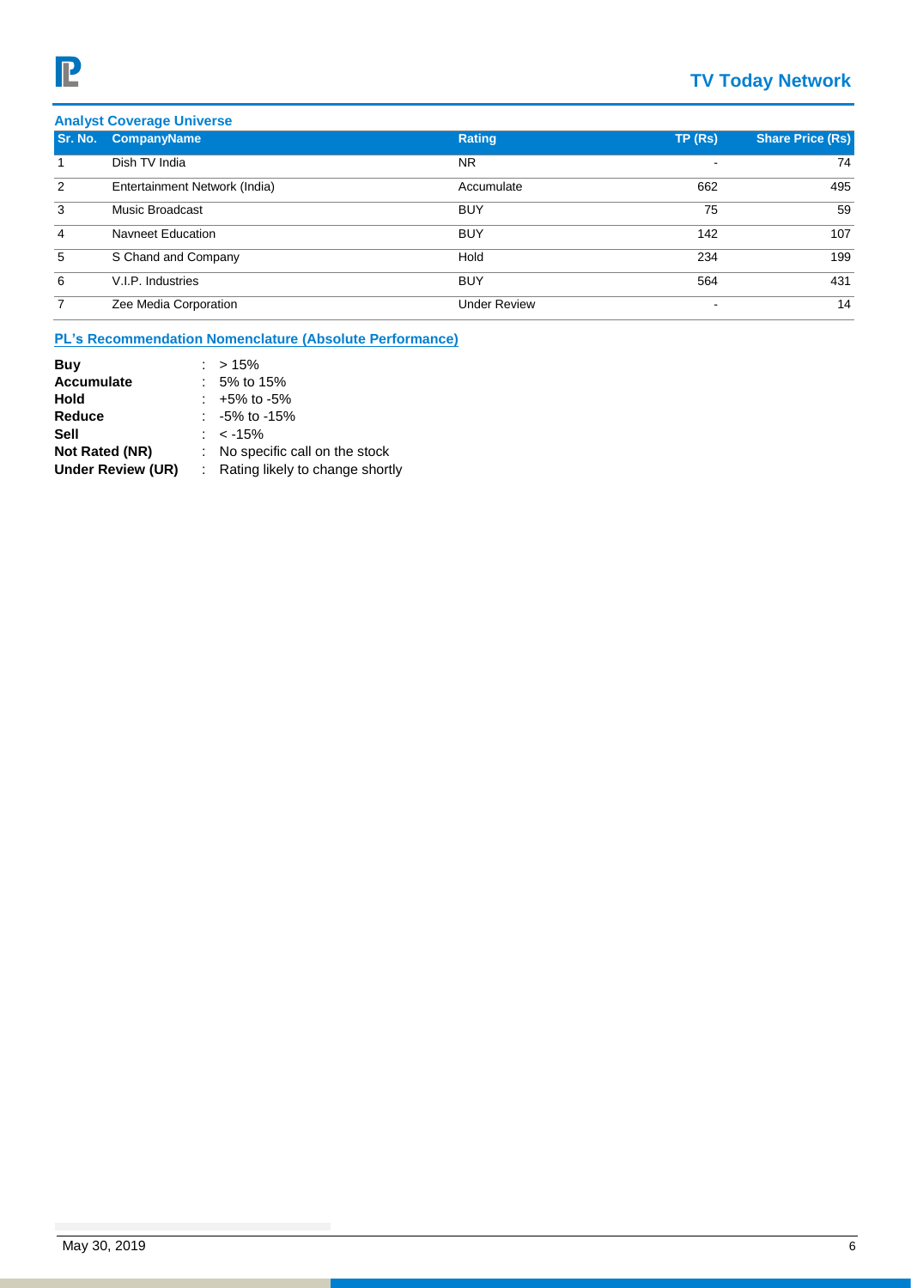# **TV Today Network**

| <b>Analyst Coverage Universe</b> |                               |                     |        |                         |
|----------------------------------|-------------------------------|---------------------|--------|-------------------------|
| Sr. No.                          | <b>CompanyName</b>            | Rating              | TP(Rs) | <b>Share Price (Rs)</b> |
|                                  | Dish TV India                 | <b>NR</b>           |        | 74                      |
| 2                                | Entertainment Network (India) | Accumulate          | 662    | 495                     |
| 3                                | Music Broadcast               | <b>BUY</b>          | 75     | 59                      |
| 4                                | Navneet Education             | <b>BUY</b>          | 142    | 107                     |
| 5                                | S Chand and Company           | Hold                | 234    | 199                     |
| 6                                | V.I.P. Industries             | <b>BUY</b>          | 564    | 431                     |
| 7                                | Zee Media Corporation         | <b>Under Review</b> |        | 14                      |

# **PL's Recommendation Nomenclature (Absolute Performance)**

| Buy                   | $: > 15\%$                        |
|-----------------------|-----------------------------------|
| <b>Accumulate</b>     | $: 5\%$ to 15%                    |
| Hold                  | $: +5\%$ to -5%                   |
| Reduce                | $: -5\%$ to -15%                  |
| Sell                  | : $<$ -15%                        |
| <b>Not Rated (NR)</b> | : No specific call on the stock   |
| Under Review (UR)     | : Rating likely to change shortly |
|                       |                                   |